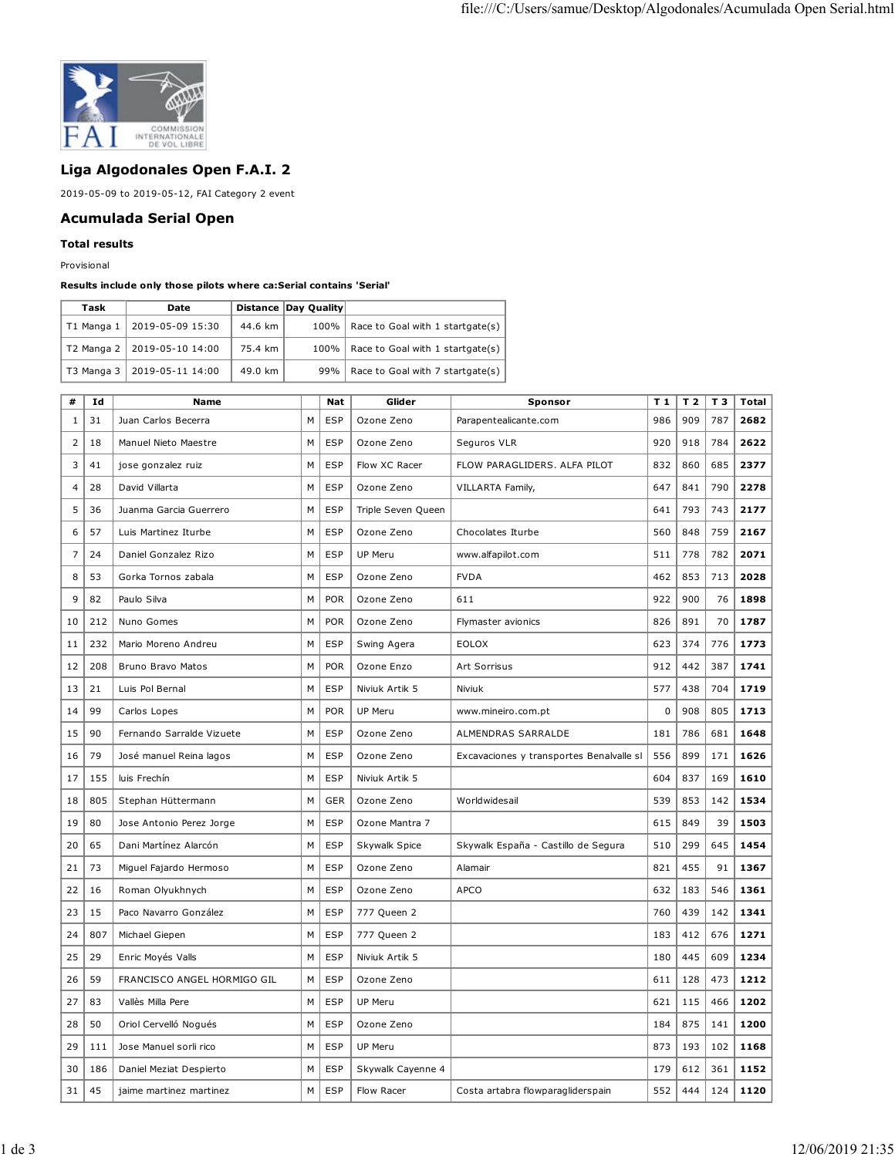

## **Liga Algodonales Open F.A.I. 2**

2019-05-09 to 2019-05-12, FAI Category 2 event

## **Acumulada Serial Open**

## **Total results**

Provisional

## **Results include only those pilots where ca:Serial contains 'Serial'**

| Task              | Date                          |         | Distance Day Ouality |                                         |
|-------------------|-------------------------------|---------|----------------------|-----------------------------------------|
| T1 Manga $1 \mid$ | 2019-05-09 15:30              | 44.6 km |                      | 100%   Race to Goal with 1 startgate(s) |
|                   | T2 Manga 2   2019-05-10 14:00 | 75.4 km |                      | 100%   Race to Goal with 1 startgate(s) |
|                   | T3 Manga 3   2019-05-11 14:00 | 49.0 km |                      | 99%   Race to Goal with 7 startgate(s)  |

| #              | Id  | <b>Name</b>                 |   | <b>Nat</b> | Glider             | Sponsor                                  | T <sub>1</sub> | T <sub>2</sub> | T 3 | Total |
|----------------|-----|-----------------------------|---|------------|--------------------|------------------------------------------|----------------|----------------|-----|-------|
| 1              | 31  | Juan Carlos Becerra         | M | <b>ESP</b> | Ozone Zeno         | Parapentealicante.com                    | 986            | 909            | 787 | 2682  |
| $\overline{2}$ | 18  | Manuel Nieto Maestre        | M | <b>ESP</b> | Ozone Zeno         | Seguros VLR                              | 920            | 918            | 784 | 2622  |
| 3              | 41  | jose gonzalez ruiz          | M | <b>ESP</b> | Flow XC Racer      | FLOW PARAGLIDERS. ALFA PILOT             | 832            | 860            | 685 | 2377  |
| 4              | 28  | David Villarta              | M | <b>ESP</b> | Ozone Zeno         | VILLARTA Family,                         | 647            | 841            | 790 | 2278  |
| 5              | 36  | Juanma Garcia Guerrero      | M | <b>ESP</b> | Triple Seven Queen |                                          | 641            | 793            | 743 | 2177  |
| 6              | 57  | Luis Martinez Iturbe        | M | <b>ESP</b> | Ozone Zeno         | Chocolates Iturbe                        | 560            | 848            | 759 | 2167  |
| 7              | 24  | Daniel Gonzalez Rizo        | M | <b>ESP</b> | <b>UP Meru</b>     | www.alfapilot.com                        | 511            | 778            | 782 | 2071  |
| 8              | 53  | Gorka Tornos zabala         | M | <b>ESP</b> | Ozone Zeno         | <b>FVDA</b>                              | 462            | 853            | 713 | 2028  |
| 9              | 82  | Paulo Silva                 | M | <b>POR</b> | Ozone Zeno         | 611                                      | 922            | 900            | 76  | 1898  |
| 10             | 212 | Nuno Gomes                  | M | <b>POR</b> | Ozone Zeno         | Flymaster avionics                       | 826            | 891            | 70  | 1787  |
| 11             | 232 | Mario Moreno Andreu         | M | <b>ESP</b> | Swing Agera        | <b>EOLOX</b>                             | 623            | 374            | 776 | 1773  |
| 12             | 208 | Bruno Bravo Matos           | м | <b>POR</b> | Ozone Enzo         | Art Sorrisus                             | 912            | 442            | 387 | 1741  |
| 13             | 21  | Luis Pol Bernal             | М | <b>ESP</b> | Niviuk Artik 5     | Niviuk                                   | 577            | 438            | 704 | 1719  |
| 14             | 99  | Carlos Lopes                | М | POR        | UP Meru            | www.mineiro.com.pt                       | 0              | 908            | 805 | 1713  |
| 15             | 90  | Fernando Sarralde Vizuete   | М | <b>ESP</b> | Ozone Zeno         | ALMENDRAS SARRALDE                       | 181            | 786            | 681 | 1648  |
| 16             | 79  | José manuel Reina lagos     | М | <b>ESP</b> | Ozone Zeno         | Excavaciones y transportes Benalvalle sl | 556            | 899            | 171 | 1626  |
| 17             | 155 | luis Frechín                | М | <b>ESP</b> | Niviuk Artik 5     |                                          | 604            | 837            | 169 | 1610  |
| 18             | 805 | Stephan Hüttermann          | М | GER        | Ozone Zeno         | Worldwidesail                            | 539            | 853            | 142 | 1534  |
| 19             | 80  | Jose Antonio Perez Jorge    | М | <b>ESP</b> | Ozone Mantra 7     |                                          | 615            | 849            | 39  | 1503  |
| 20             | 65  | Dani Martínez Alarcón       | М | <b>ESP</b> | Skywalk Spice      | Skywalk España - Castillo de Segura      | 510            | 299            | 645 | 1454  |
| 21             | 73  | Miguel Fajardo Hermoso      | М | <b>ESP</b> | Ozone Zeno         | Alamair                                  | 821            | 455            | 91  | 1367  |
| 22             | 16  | Roman Olyukhnych            | M | <b>ESP</b> | Ozone Zeno         | <b>APCO</b>                              | 632            | 183            | 546 | 1361  |
| 23             | 15  | Paco Navarro González       | М | <b>ESP</b> | 777 Queen 2        |                                          | 760            | 439            | 142 | 1341  |
| 24             | 807 | Michael Giepen              | M | <b>ESP</b> | 777 Queen 2        |                                          | 183            | 412            | 676 | 1271  |
| 25             | 29  | Enric Moyés Valls           | M | <b>ESP</b> | Niviuk Artik 5     |                                          | 180            | 445            | 609 | 1234  |
| 26             | 59  | FRANCISCO ANGEL HORMIGO GIL | М | <b>ESP</b> | Ozone Zeno         |                                          | 611            | 128            | 473 | 1212  |
| 27             | 83  | Vallès Milla Pere           | M | <b>ESP</b> | <b>UP Meru</b>     |                                          | 621            | 115            | 466 | 1202  |
| 28             | 50  | Oriol Cervelló Nogués       | M | <b>ESP</b> | Ozone Zeno         |                                          | 184            | 875            | 141 | 1200  |
| 29             | 111 | Jose Manuel sorli rico      | M | <b>ESP</b> | <b>UP Meru</b>     |                                          | 873            | 193            | 102 | 1168  |
| 30             | 186 | Daniel Meziat Despierto     | M | <b>ESP</b> | Skywalk Cayenne 4  |                                          | 179            | 612            | 361 | 1152  |
| 31             | 45  | jaime martinez martinez     | M | <b>ESP</b> | Flow Racer         | Costa artabra flowparagliderspain        | 552            | 444            | 124 | 1120  |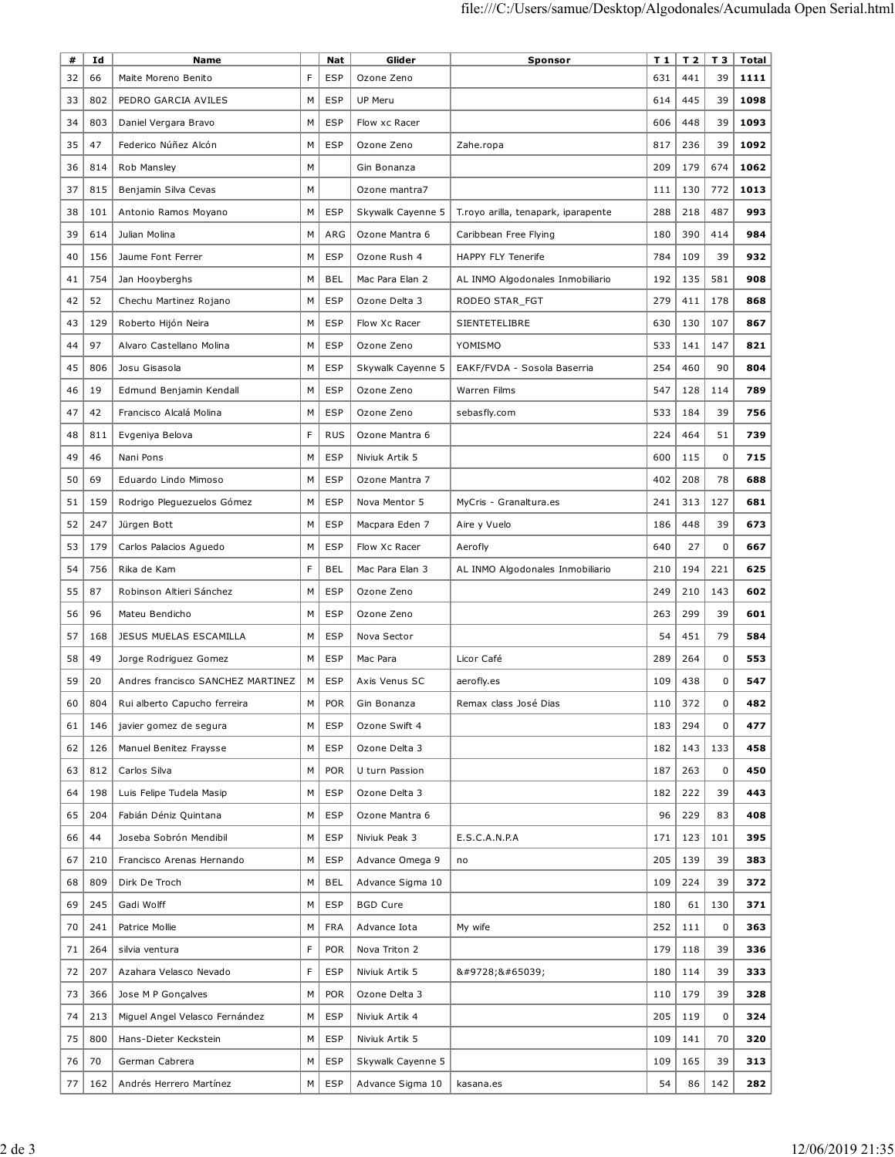| #  | Id  | <b>Name</b>                       |   | Nat        | Glider            | Sponsor                             | T 1 | T <sub>2</sub> | T 3         | Total |
|----|-----|-----------------------------------|---|------------|-------------------|-------------------------------------|-----|----------------|-------------|-------|
| 32 | 66  | Maite Moreno Benito               | F | <b>ESP</b> | Ozone Zeno        |                                     | 631 | 441            | 39          | 1111  |
| 33 | 802 | PEDRO GARCIA AVILES               | M | <b>ESP</b> | UP Meru           |                                     | 614 | 445            | 39          | 1098  |
| 34 | 803 | Daniel Vergara Bravo              | M | <b>ESP</b> | Flow xc Racer     |                                     | 606 | 448            | 39          | 1093  |
| 35 | 47  | Federico Núñez Alcón              | М | <b>ESP</b> | Ozone Zeno        | Zahe.ropa                           | 817 | 236            | 39          | 1092  |
| 36 | 814 | Rob Mansley                       | M |            | Gin Bonanza       |                                     | 209 | 179            | 674         | 1062  |
| 37 | 815 | Benjamin Silva Cevas              | М |            | Ozone mantra7     |                                     | 111 | 130            | 772         | 1013  |
| 38 | 101 | Antonio Ramos Moyano              | М | <b>ESP</b> | Skywalk Cayenne 5 | T.royo arilla, tenapark, iparapente | 288 | 218            | 487         | 993   |
| 39 | 614 | Julian Molina                     | М | ARG        | Ozone Mantra 6    | Caribbean Free Flying               | 180 | 390            | 414         | 984   |
| 40 | 156 | Jaume Font Ferrer                 | М | <b>ESP</b> | Ozone Rush 4      | <b>HAPPY FLY Tenerife</b>           | 784 | 109            | 39          | 932   |
| 41 | 754 | Jan Hooyberghs                    | М | BEL        | Mac Para Elan 2   | AL INMO Algodonales Inmobiliario    | 192 | 135            | 581         | 908   |
| 42 | 52  | Chechu Martinez Rojano            | М | <b>ESP</b> | Ozone Delta 3     | RODEO STAR_FGT                      | 279 | 411            | 178         | 868   |
| 43 | 129 | Roberto Hijón Neira               | М | <b>ESP</b> | Flow Xc Racer     | SIENTETELIBRE                       | 630 | 130            | 107         | 867   |
| 44 | 97  | Alvaro Castellano Molina          | М | <b>ESP</b> | Ozone Zeno        | YOMISMO                             | 533 | 141            | 147         | 821   |
| 45 | 806 | Josu Gisasola                     | M | <b>ESP</b> | Skywalk Cayenne 5 | EAKF/FVDA - Sosola Baserria         | 254 | 460            | 90          | 804   |
| 46 | 19  | Edmund Benjamin Kendall           | М | <b>ESP</b> | Ozone Zeno        | <b>Warren Films</b>                 | 547 | 128            | 114         | 789   |
| 47 | 42  | Francisco Alcalá Molina           | М | <b>ESP</b> | Ozone Zeno        | sebasfly.com                        | 533 | 184            | 39          | 756   |
| 48 | 811 | Evgeniya Belova                   | F | <b>RUS</b> | Ozone Mantra 6    |                                     | 224 | 464            | 51          | 739   |
| 49 | 46  | Nani Pons                         | М | <b>ESP</b> | Niviuk Artik 5    |                                     | 600 | 115            | $\mathbf 0$ | 715   |
| 50 | 69  | Eduardo Lindo Mimoso              | М | <b>ESP</b> | Ozone Mantra 7    |                                     | 402 | 208            | 78          | 688   |
| 51 | 159 | Rodrigo Pleguezuelos Gómez        | М | <b>ESP</b> | Nova Mentor 5     | MyCris - Granaltura.es              | 241 | 313            | 127         | 681   |
| 52 | 247 | Jürgen Bott                       | М | <b>ESP</b> | Macpara Eden 7    | Aire y Vuelo                        | 186 | 448            | 39          | 673   |
| 53 | 179 | Carlos Palacios Aguedo            | М | <b>ESP</b> | Flow Xc Racer     | Aerofly                             | 640 | 27             | $\mathbf 0$ | 667   |
| 54 | 756 | Rika de Kam                       | F | <b>BEL</b> | Mac Para Elan 3   | AL INMO Algodonales Inmobiliario    | 210 | 194            | 221         | 625   |
| 55 | 87  | Robinson Altieri Sánchez          | M | <b>ESP</b> | Ozone Zeno        |                                     | 249 | 210            | 143         | 602   |
| 56 | 96  | Mateu Bendicho                    | M | <b>ESP</b> | Ozone Zeno        |                                     | 263 | 299            | 39          | 601   |
| 57 | 168 | JESUS MUELAS ESCAMILLA            | М | <b>ESP</b> | Nova Sector       |                                     | 54  | 451            | 79          | 584   |
| 58 | 49  | Jorge Rodriguez Gomez             | М | <b>ESP</b> | Mac Para          | Licor Café                          | 289 | 264            | 0           | 553   |
| 59 | 20  | Andres francisco SANCHEZ MARTINEZ | М | <b>ESP</b> | Axis Venus SC     | aerofly.es                          | 109 | 438            | 0           | 547   |
| 60 | 804 | Rui alberto Capucho ferreira      | M | <b>POR</b> | Gin Bonanza       | Remax class José Dias               | 110 | 372            | 0           | 482   |
| 61 | 146 | javier gomez de segura            | м | <b>ESP</b> | Ozone Swift 4     |                                     | 183 | 294            | 0           | 477   |
| 62 | 126 | Manuel Benitez Fraysse            | М | <b>ESP</b> | Ozone Delta 3     |                                     | 182 | 143            | 133         | 458   |
| 63 | 812 | Carlos Silva                      | М | <b>POR</b> | U turn Passion    |                                     | 187 | 263            | 0           | 450   |
| 64 | 198 | Luis Felipe Tudela Masip          | М | <b>ESP</b> | Ozone Delta 3     |                                     | 182 | 222            | 39          | 443   |
| 65 | 204 | Fabián Déniz Quintana             | М | <b>ESP</b> | Ozone Mantra 6    |                                     | 96  | 229            | 83          | 408   |
| 66 | 44  | Joseba Sobrón Mendibil            | М | <b>ESP</b> | Niviuk Peak 3     | E.S.C.A.N.P.A                       | 171 | 123            | 101         | 395   |
| 67 | 210 | Francisco Arenas Hernando         | М | ESP        | Advance Omega 9   | no                                  | 205 | 139            | 39          | 383   |
| 68 | 809 | Dirk De Troch                     | М | <b>BEL</b> | Advance Sigma 10  |                                     | 109 | 224            | 39          | 372   |
| 69 | 245 | Gadi Wolff                        | М | <b>ESP</b> | <b>BGD Cure</b>   |                                     | 180 | 61             | 130         | 371   |
| 70 | 241 | Patrice Mollie                    | М | <b>FRA</b> | Advance Iota      | My wife                             | 252 | 111            | 0           | 363   |
| 71 | 264 | silvia ventura                    | F | <b>POR</b> | Nova Triton 2     |                                     | 179 | 118            | 39          | 336   |
| 72 | 207 | Azahara Velasco Nevado            | F | <b>ESP</b> | Niviuk Artik 5    | ☀️                                  | 180 | 114            | 39          | 333   |
| 73 | 366 | Jose M P Gonçalves                | М | <b>POR</b> | Ozone Delta 3     |                                     | 110 | 179            | 39          | 328   |
| 74 | 213 | Miguel Angel Velasco Fernández    | М | <b>ESP</b> | Niviuk Artik 4    |                                     | 205 | 119            | 0           | 324   |
| 75 | 800 | Hans-Dieter Keckstein             | М | <b>ESP</b> | Niviuk Artik 5    |                                     | 109 | 141            | 70          | 320   |
| 76 | 70  | German Cabrera                    | M | ESP        | Skywalk Cayenne 5 |                                     | 109 | 165            | 39          | 313   |
| 77 | 162 | Andrés Herrero Martínez           | М | <b>ESP</b> | Advance Sigma 10  | kasana.es                           | 54  | 86             | 142         | 282   |